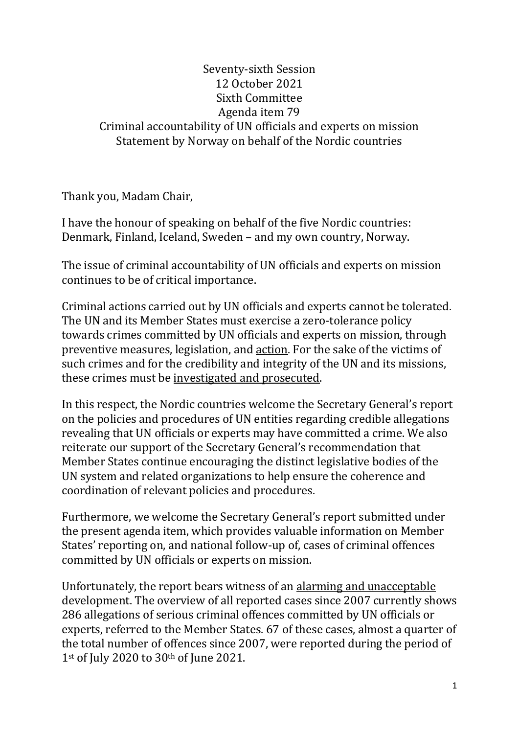## Seventy-sixth Session 12 October 2021 Sixth Committee Agenda item 79 Criminal accountability of UN officials and experts on mission Statement by Norway on behalf of the Nordic countries

Thank you, Madam Chair,

I have the honour of speaking on behalf of the five Nordic countries: Denmark, Finland, Iceland, Sweden – and my own country, Norway.

The issue of criminal accountability of UN officials and experts on mission continues to be of critical importance.

Criminal actions carried out by UN officials and experts cannot be tolerated. The UN and its Member States must exercise a zero-tolerance policy towards crimes committed by UN officials and experts on mission, through preventive measures, legislation, and action. For the sake of the victims of such crimes and for the credibility and integrity of the UN and its missions, these crimes must be investigated and prosecuted.

In this respect, the Nordic countries welcome the Secretary General's report on the policies and procedures of UN entities regarding credible allegations revealing that UN officials or experts may have committed a crime. We also reiterate our support of the Secretary General's recommendation that Member States continue encouraging the distinct legislative bodies of the UN system and related organizations to help ensure the coherence and coordination of relevant policies and procedures.

Furthermore, we welcome the Secretary General's report submitted under the present agenda item, which provides valuable information on Member States' reporting on, and national follow-up of, cases of criminal offences committed by UN officials or experts on mission.

Unfortunately, the report bears witness of an alarming and unacceptable development. The overview of all reported cases since 2007 currently shows 286 allegations of serious criminal offences committed by UN officials or experts, referred to the Member States. 67 of these cases, almost a quarter of the total number of offences since 2007, were reported during the period of 1st of July 2020 to 30th of June 2021.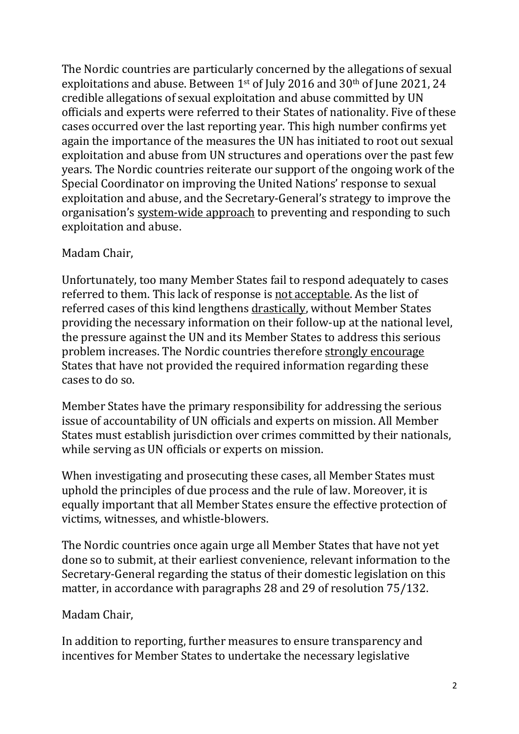The Nordic countries are particularly concerned by the allegations of sexual exploitations and abuse. Between 1st of July 2016 and 30th of June 2021, 24 credible allegations of sexual exploitation and abuse committed by UN officials and experts were referred to their States of nationality. Five of these cases occurred over the last reporting year. This high number confirms yet again the importance of the measures the UN has initiated to root out sexual exploitation and abuse from UN structures and operations over the past few years. The Nordic countries reiterate our support of the ongoing work of the Special Coordinator on improving the United Nations' response to sexual exploitation and abuse, and the Secretary-General's strategy to improve the organisation's system-wide approach to preventing and responding to such exploitation and abuse.

## Madam Chair,

Unfortunately, too many Member States fail to respond adequately to cases referred to them. This lack of response is not acceptable. As the list of referred cases of this kind lengthens drastically, without Member States providing the necessary information on their follow-up at the national level, the pressure against the UN and its Member States to address this serious problem increases. The Nordic countries therefore strongly encourage States that have not provided the required information regarding these cases to do so.

Member States have the primary responsibility for addressing the serious issue of accountability of UN officials and experts on mission. All Member States must establish jurisdiction over crimes committed by their nationals, while serving as UN officials or experts on mission.

When investigating and prosecuting these cases, all Member States must uphold the principles of due process and the rule of law. Moreover, it is equally important that all Member States ensure the effective protection of victims, witnesses, and whistle-blowers.

The Nordic countries once again urge all Member States that have not yet done so to submit, at their earliest convenience, relevant information to the Secretary-General regarding the status of their domestic legislation on this matter, in accordance with paragraphs 28 and 29 of resolution 75/132.

## Madam Chair,

In addition to reporting, further measures to ensure transparency and incentives for Member States to undertake the necessary legislative